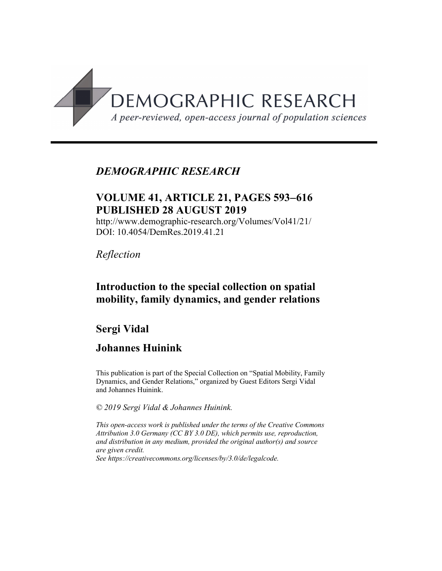

# *DEMOGRAPHIC RESEARCH*

# **VOLUME 41, ARTICLE 21, PAGES 593**-**616 PUBLISHED 28 AUGUST 2019**

http://www.demographic-research.org/Volumes/Vol41/21/ DOI: 10.4054/DemRes.2019.41.21

*Reflection*

# **Introduction to the special collection on spatial mobility, family dynamics, and gender relations**

# **Sergi Vidal**

# **Johannes Huinink**

This publication is part of the Special Collection on "Spatial Mobility, Family Dynamics, and Gender Relations," organized by Guest Editors Sergi Vidal and Johannes Huinink.

*© 2019 Sergi Vidal & Johannes Huinink.*

*This open-access work is published under the terms of the Creative Commons Attribution 3.0 Germany (CC BY 3.0 DE), which permits use, reproduction, and distribution in any medium, provided the original author(s) and source are given credit.*

*See [https://creativecommons.org/licenses/by/3.0/de/legalcode.](https://creativecommons.org/licenses/by/3.0/de/legalcode)*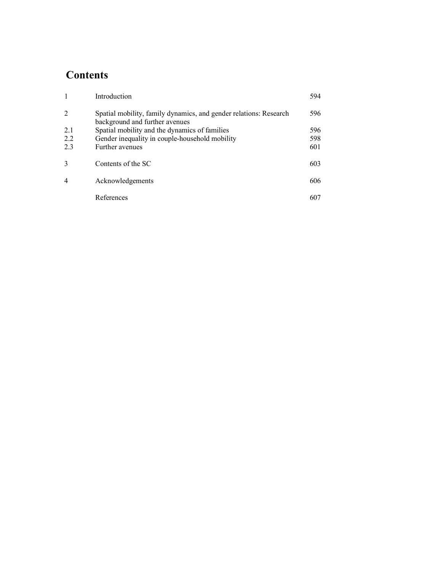# **Contents**

|               | Introduction                                                                                        | 594 |
|---------------|-----------------------------------------------------------------------------------------------------|-----|
| 2             | Spatial mobility, family dynamics, and gender relations: Research<br>background and further avenues | 596 |
| 2.1           | Spatial mobility and the dynamics of families                                                       | 596 |
| 2.2           | Gender inequality in couple-household mobility                                                      | 598 |
| 2.3           | Further avenues                                                                                     | 601 |
| $\mathcal{R}$ | Contents of the SC                                                                                  | 603 |
| 4             | Acknowledgements                                                                                    | 606 |
|               | References                                                                                          | 607 |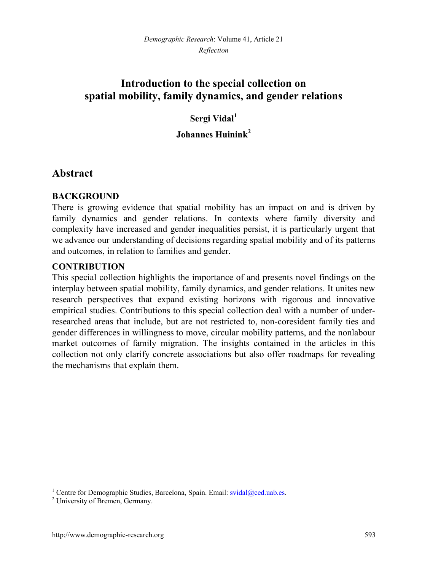# **Introduction to the special collection on spatial mobility, family dynamics, and gender relations**

## **Sergi Vidal[1](#page-2-0)**

### **Johannes Huinink[2](#page-2-1)**

## **Abstract**

#### **BACKGROUND**

There is growing evidence that spatial mobility has an impact on and is driven by family dynamics and gender relations. In contexts where family diversity and complexity have increased and gender inequalities persist, it is particularly urgent that we advance our understanding of decisions regarding spatial mobility and of its patterns and outcomes, in relation to families and gender.

#### **CONTRIBUTION**

This special collection highlights the importance of and presents novel findings on the interplay between spatial mobility, family dynamics, and gender relations. It unites new research perspectives that expand existing horizons with rigorous and innovative empirical studies. Contributions to this special collection deal with a number of underresearched areas that include, but are not restricted to, non-coresident family ties and gender differences in willingness to move, circular mobility patterns, and the nonlabour market outcomes of family migration. The insights contained in the articles in this collection not only clarify concrete associations but also offer roadmaps for revealing the mechanisms that explain them.

<span id="page-2-0"></span><sup>&</sup>lt;sup>1</sup> Centre for Demographic Studies, Barcelona, Spain. Email: sv[idal@ced.uab.es.](mailto:svidal@ced.uab.es)

<span id="page-2-1"></span><sup>2</sup> University of Bremen, Germany.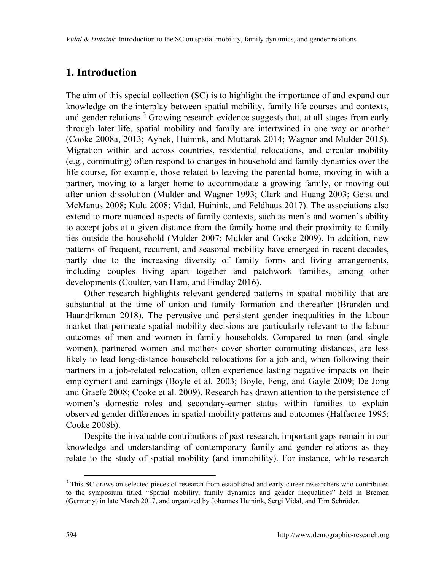# **1. Introduction**

The aim of this special collection (SC) is to highlight the importance of and expand our knowledge on the interplay between spatial mobility, family life courses and contexts, andgender relations.<sup>3</sup> Growing research evidence suggests that, at all stages from early through later life, spatial mobility and family are intertwined in one way or another (Cooke 2008a, 2013; Aybek, Huinink, and Muttarak 2014; Wagner and Mulder 2015). Migration within and across countries, residential relocations, and circular mobility (e.g., commuting) often respond to changes in household and family dynamics over the life course, for example, those related to leaving the parental home, moving in with a partner, moving to a larger home to accommodate a growing family, or moving out after union dissolution (Mulder and Wagner 1993; Clark and Huang 2003; Geist and McManus 2008; Kulu 2008; Vidal, Huinink, and Feldhaus 2017). The associations also extend to more nuanced aspects of family contexts, such as men's and women's ability to accept jobs at a given distance from the family home and their proximity to family ties outside the household (Mulder 2007; Mulder and Cooke 2009). In addition, new patterns of frequent, recurrent, and seasonal mobility have emerged in recent decades, partly due to the increasing diversity of family forms and living arrangements, including couples living apart together and patchwork families, among other developments (Coulter, van Ham, and Findlay 2016).

Other research highlights relevant gendered patterns in spatial mobility that are substantial at the time of union and family formation and thereafter (Brandén and Haandrikman 2018). The pervasive and persistent gender inequalities in the labour market that permeate spatial mobility decisions are particularly relevant to the labour outcomes of men and women in family households. Compared to men (and single women), partnered women and mothers cover shorter commuting distances, are less likely to lead long-distance household relocations for a job and, when following their partners in a job-related relocation, often experience lasting negative impacts on their employment and earnings (Boyle et al. 2003; Boyle, Feng, and Gayle 2009; De Jong and Graefe 2008; Cooke et al. 2009). Research has drawn attention to the persistence of women's domestic roles and secondary-earner status within families to explain observed gender differences in spatial mobility patterns and outcomes (Halfacree 1995; Cooke 2008b).

Despite the invaluable contributions of past research, important gaps remain in our knowledge and understanding of contemporary family and gender relations as they relate to the study of spatial mobility (and immobility). For instance, while research

<span id="page-3-0"></span><sup>&</sup>lt;sup>3</sup> This SC draws on selected pieces of research from established and early-career researchers who contributed to the symposium titled "Spatial mobility, family dynamics and gender inequalities" held in Bremen (Germany) in late March 2017, and organized by Johannes Huinink, Sergi Vidal, and Tim Schröder.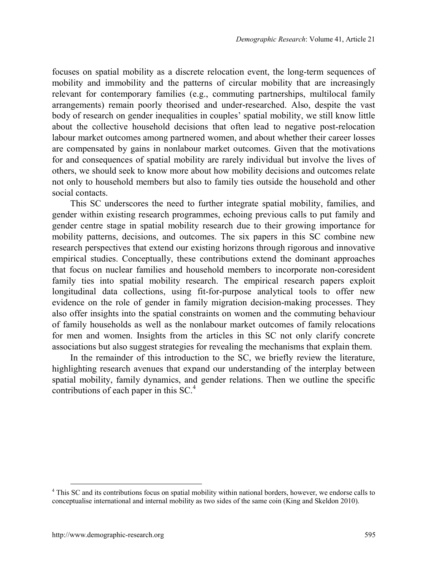focuses on spatial mobility as a discrete relocation event, the long-term sequences of mobility and immobility and the patterns of circular mobility that are increasingly relevant for contemporary families (e.g., commuting partnerships, multilocal family arrangements) remain poorly theorised and under-researched. Also, despite the vast body of research on gender inequalities in couples' spatial mobility, we still know little about the collective household decisions that often lead to negative post-relocation labour market outcomes among partnered women, and about whether their career losses are compensated by gains in nonlabour market outcomes. Given that the motivations for and consequences of spatial mobility are rarely individual but involve the lives of others, we should seek to know more about how mobility decisions and outcomes relate not only to household members but also to family ties outside the household and other social contacts.

This SC underscores the need to further integrate spatial mobility, families, and gender within existing research programmes, echoing previous calls to put family and gender centre stage in spatial mobility research due to their growing importance for mobility patterns, decisions, and outcomes. The six papers in this SC combine new research perspectives that extend our existing horizons through rigorous and innovative empirical studies. Conceptually, these contributions extend the dominant approaches that focus on nuclear families and household members to incorporate non-coresident family ties into spatial mobility research. The empirical research papers exploit longitudinal data collections, using fit-for-purpose analytical tools to offer new evidence on the role of gender in family migration decision-making processes. They also offer insights into the spatial constraints on women and the commuting behaviour of family households as well as the nonlabour market outcomes of family relocations for men and women. Insights from the articles in this SC not only clarify concrete associations but also suggest strategies for revealing the mechanisms that explain them.

In the remainder of this introduction to the SC, we briefly review the literature, highlighting research avenues that expand our understanding of the interplay between spatial mobility, family dynamics, and gender relations. Then we outline the specific contributions of each paper in this SC.<sup>[4](#page-4-0)</sup>

<span id="page-4-0"></span><sup>&</sup>lt;sup>4</sup> This SC and its contributions focus on spatial mobility within national borders, however, we endorse calls to conceptualise international and internal mobility as two sides of the same coin (King and Skeldon 2010).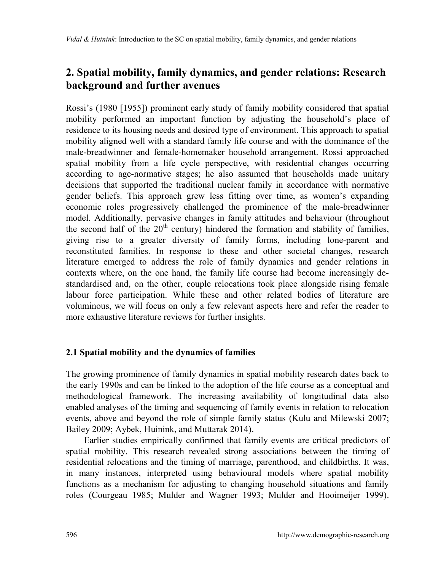# **2. Spatial mobility, family dynamics, and gender relations: Research background and further avenues**

Rossi's (1980 [1955]) prominent early study of family mobility considered that spatial mobility performed an important function by adjusting the household's place of residence to its housing needs and desired type of environment. This approach to spatial mobility aligned well with a standard family life course and with the dominance of the male-breadwinner and female-homemaker household arrangement. Rossi approached spatial mobility from a life cycle perspective, with residential changes occurring according to age-normative stages; he also assumed that households made unitary decisions that supported the traditional nuclear family in accordance with normative gender beliefs. This approach grew less fitting over time, as women's expanding economic roles progressively challenged the prominence of the male-breadwinner model. Additionally, pervasive changes in family attitudes and behaviour (throughout the second half of the  $20<sup>th</sup>$  century) hindered the formation and stability of families, giving rise to a greater diversity of family forms, including lone-parent and reconstituted families. In response to these and other societal changes, research literature emerged to address the role of family dynamics and gender relations in contexts where, on the one hand, the family life course had become increasingly destandardised and, on the other, couple relocations took place alongside rising female labour force participation. While these and other related bodies of literature are voluminous, we will focus on only a few relevant aspects here and refer the reader to more exhaustive literature reviews for further insights.

#### **2.1 Spatial mobility and the dynamics of families**

The growing prominence of family dynamics in spatial mobility research dates back to the early 1990s and can be linked to the adoption of the life course as a conceptual and methodological framework. The increasing availability of longitudinal data also enabled analyses of the timing and sequencing of family events in relation to relocation events, above and beyond the role of simple family status (Kulu and Milewski 2007; Bailey 2009; Aybek, Huinink, and Muttarak 2014).

Earlier studies empirically confirmed that family events are critical predictors of spatial mobility. This research revealed strong associations between the timing of residential relocations and the timing of marriage, parenthood, and childbirths. It was, in many instances, interpreted using behavioural models where spatial mobility functions as a mechanism for adjusting to changing household situations and family roles (Courgeau 1985; Mulder and Wagner 1993; Mulder and Hooimeijer 1999).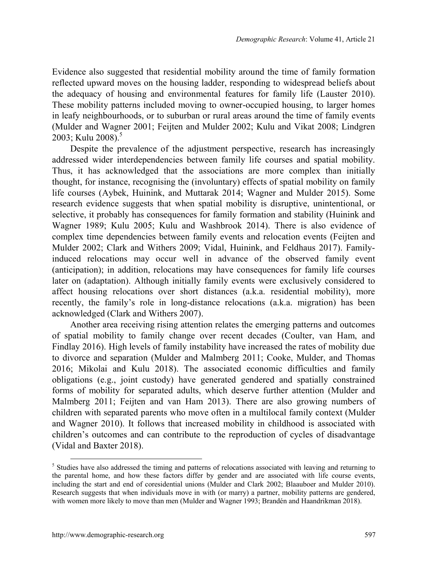Evidence also suggested that residential mobility around the time of family formation reflected upward moves on the housing ladder, responding to widespread beliefs about the adequacy of housing and environmental features for family life (Lauster 2010). These mobility patterns included moving to owner-occupied housing, to larger homes in leafy neighbourhoods, or to suburban or rural areas around the time of family events (Mulder and Wagner 2001; Feijten and Mulder 2002; Kulu and Vikat 2008; Lindgren 2003: Kulu 2008).<sup>[5](#page-6-0)</sup>

Despite the prevalence of the adjustment perspective, research has increasingly addressed wider interdependencies between family life courses and spatial mobility. Thus, it has acknowledged that the associations are more complex than initially thought, for instance, recognising the (involuntary) effects of spatial mobility on family life courses (Aybek, Huinink, and Muttarak 2014; Wagner and Mulder 2015). Some research evidence suggests that when spatial mobility is disruptive, unintentional, or selective, it probably has consequences for family formation and stability (Huinink and Wagner 1989; Kulu 2005; Kulu and Washbrook 2014). There is also evidence of complex time dependencies between family events and relocation events (Feijten and Mulder 2002; Clark and Withers 2009; Vidal, Huinink, and Feldhaus 2017). Familyinduced relocations may occur well in advance of the observed family event (anticipation); in addition, relocations may have consequences for family life courses later on (adaptation). Although initially family events were exclusively considered to affect housing relocations over short distances (a.k.a. residential mobility), more recently, the family's role in long-distance relocations (a.k.a. migration) has been acknowledged (Clark and Withers 2007).

Another area receiving rising attention relates the emerging patterns and outcomes of spatial mobility to family change over recent decades (Coulter, van Ham, and Findlay 2016). High levels of family instability have increased the rates of mobility due to divorce and separation (Mulder and Malmberg 2011; Cooke, Mulder, and Thomas 2016; Mikolai and Kulu 2018). The associated economic difficulties and family obligations (e.g., joint custody) have generated gendered and spatially constrained forms of mobility for separated adults, which deserve further attention (Mulder and Malmberg 2011; Feijten and van Ham 2013). There are also growing numbers of children with separated parents who move often in a multilocal family context (Mulder and Wagner 2010). It follows that increased mobility in childhood is associated with children's outcomes and can contribute to the reproduction of cycles of disadvantage (Vidal and Baxter 2018).

<span id="page-6-0"></span><sup>&</sup>lt;sup>5</sup> Studies have also addressed the timing and patterns of relocations associated with leaving and returning to the parental home, and how these factors differ by gender and are associated with life course events, including the start and end of coresidential unions (Mulder and Clark 2002; Blaauboer and Mulder 2010). Research suggests that when individuals move in with (or marry) a partner, mobility patterns are gendered, with women more likely to move than men (Mulder and Wagner 1993; Brandén and Haandrikman 2018).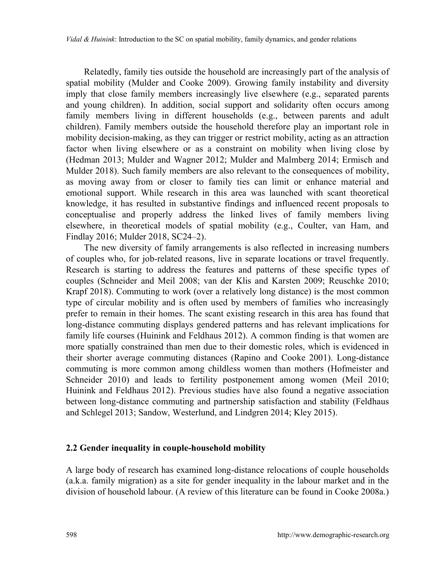Relatedly, family ties outside the household are increasingly part of the analysis of spatial mobility (Mulder and Cooke 2009). Growing family instability and diversity imply that close family members increasingly live elsewhere (e.g., separated parents and young children). In addition, social support and solidarity often occurs among family members living in different households (e.g., between parents and adult children). Family members outside the household therefore play an important role in mobility decision-making, as they can trigger or restrict mobility, acting as an attraction factor when living elsewhere or as a constraint on mobility when living close by (Hedman 2013; Mulder and Wagner 2012; Mulder and Malmberg 2014; Ermisch and Mulder 2018). Such family members are also relevant to the consequences of mobility, as moving away from or closer to family ties can limit or enhance material and emotional support. While research in this area was launched with scant theoretical knowledge, it has resulted in substantive findings and influenced recent proposals to conceptualise and properly address the linked lives of family members living elsewhere, in theoretical models of spatial mobility (e.g., Coulter, van Ham, and Findlay 2016; Mulder 2018, SC24–2).

The new diversity of family arrangements is also reflected in increasing numbers of couples who, for job-related reasons, live in separate locations or travel frequently. Research is starting to address the features and patterns of these specific types of couples (Schneider and Meil 2008; van der Klis and Karsten 2009; Reuschke 2010; Krapf 2018). Commuting to work (over a relatively long distance) is the most common type of circular mobility and is often used by members of families who increasingly prefer to remain in their homes. The scant existing research in this area has found that long-distance commuting displays gendered patterns and has relevant implications for family life courses (Huinink and Feldhaus 2012). A common finding is that women are more spatially constrained than men due to their domestic roles, which is evidenced in their shorter average commuting distances (Rapino and Cooke 2001). Long-distance commuting is more common among childless women than mothers (Hofmeister and Schneider 2010) and leads to fertility postponement among women (Meil 2010; Huinink and Feldhaus 2012). Previous studies have also found a negative association between long-distance commuting and partnership satisfaction and stability (Feldhaus and Schlegel 2013; Sandow, Westerlund, and Lindgren 2014; Kley 2015).

#### **2.2 Gender inequality in couple-household mobility**

A large body of research has examined long-distance relocations of couple households (a.k.a. family migration) as a site for gender inequality in the labour market and in the division of household labour. (A review of this literature can be found in Cooke 2008a.)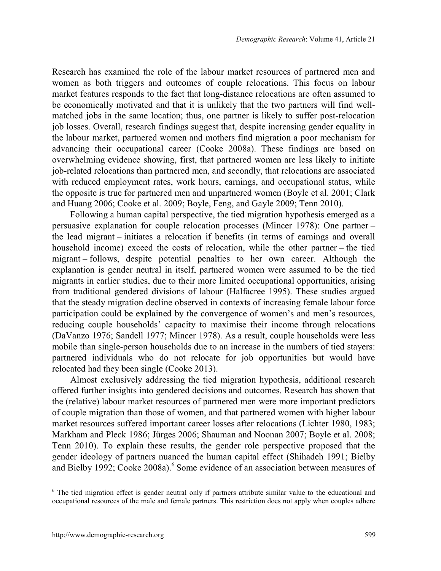Research has examined the role of the labour market resources of partnered men and women as both triggers and outcomes of couple relocations. This focus on labour market features responds to the fact that long-distance relocations are often assumed to be economically motivated and that it is unlikely that the two partners will find wellmatched jobs in the same location; thus, one partner is likely to suffer post-relocation job losses. Overall, research findings suggest that, despite increasing gender equality in the labour market, partnered women and mothers find migration a poor mechanism for advancing their occupational career (Cooke 2008a). These findings are based on overwhelming evidence showing, first, that partnered women are less likely to initiate job-related relocations than partnered men, and secondly, that relocations are associated with reduced employment rates, work hours, earnings, and occupational status, while the opposite is true for partnered men and unpartnered women (Boyle et al. 2001; Clark and Huang 2006; Cooke et al. 2009; Boyle, Feng, and Gayle 2009; Tenn 2010).

Following a human capital perspective, the tied migration hypothesis emerged as a persuasive explanation for couple relocation processes (Mincer 1978): One partner – the lead migrant – initiates a relocation if benefits (in terms of earnings and overall household income) exceed the costs of relocation, while the other partner – the tied migrant – follows, despite potential penalties to her own career. Although the explanation is gender neutral in itself, partnered women were assumed to be the tied migrants in earlier studies, due to their more limited occupational opportunities, arising from traditional gendered divisions of labour (Halfacree 1995). These studies argued that the steady migration decline observed in contexts of increasing female labour force participation could be explained by the convergence of women's and men's resources, reducing couple households' capacity to maximise their income through relocations (DaVanzo 1976; Sandell 1977; Mincer 1978). As a result, couple households were less mobile than single-person households due to an increase in the numbers of tied stayers: partnered individuals who do not relocate for job opportunities but would have relocated had they been single (Cooke 2013).

Almost exclusively addressing the tied migration hypothesis, additional research offered further insights into gendered decisions and outcomes. Research has shown that the (relative) labour market resources of partnered men were more important predictors of couple migration than those of women, and that partnered women with higher labour market resources suffered important career losses after relocations (Lichter 1980, 1983; Markham and Pleck 1986; Jürges 2006; Shauman and Noonan 2007; Boyle et al. 2008; Tenn 2010). To explain these results, the gender role perspective proposed that the gender ideology of partners nuanced the human capital effect (Shihadeh 1991; Bielby and Bielby 1992; Cooke 2008a). <sup>[6](#page-8-0)</sup> Some evidence of an association between measures of

<span id="page-8-0"></span><sup>&</sup>lt;sup>6</sup> The tied migration effect is gender neutral only if partners attribute similar value to the educational and occupational resources of the male and female partners. This restriction does not apply when couples adhere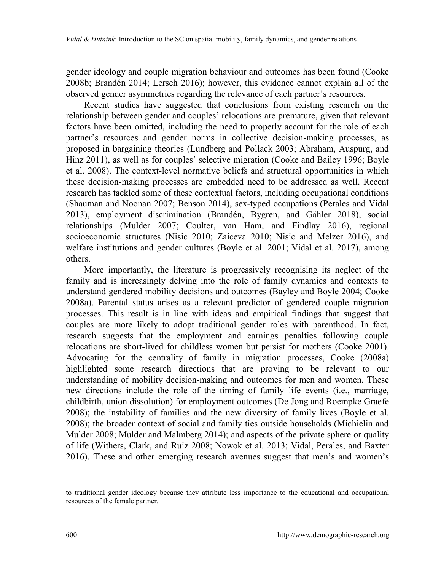gender ideology and couple migration behaviour and outcomes has been found (Cooke 2008b; Brandén 2014; Lersch 2016); however, this evidence cannot explain all of the observed gender asymmetries regarding the relevance of each partner's resources.

Recent studies have suggested that conclusions from existing research on the relationship between gender and couples' relocations are premature, given that relevant factors have been omitted, including the need to properly account for the role of each partner's resources and gender norms in collective decision-making processes, as proposed in bargaining theories (Lundberg and Pollack 2003; Abraham, Auspurg, and Hinz 2011), as well as for couples' selective migration (Cooke and Bailey 1996; Boyle et al. 2008). The context-level normative beliefs and structural opportunities in which these decision-making processes are embedded need to be addressed as well. Recent research has tackled some of these contextual factors, including occupational conditions (Shauman and Noonan 2007; Benson 2014), sex-typed occupations (Perales and Vidal 2013), employment discrimination (Brandén, Bygren, and Gähler 2018), social relationships (Mulder 2007; Coulter, van Ham, and Findlay 2016), regional socioeconomic structures (Nisic 2010; Zaiceva 2010; Nisic and Melzer 2016), and welfare institutions and gender cultures (Boyle et al. 2001; Vidal et al. 2017), among others.

More importantly, the literature is progressively recognising its neglect of the family and is increasingly delving into the role of family dynamics and contexts to understand gendered mobility decisions and outcomes (Bayley and Boyle 2004; Cooke 2008a). Parental status arises as a relevant predictor of gendered couple migration processes. This result is in line with ideas and empirical findings that suggest that couples are more likely to adopt traditional gender roles with parenthood. In fact, research suggests that the employment and earnings penalties following couple relocations are short-lived for childless women but persist for mothers (Cooke 2001). Advocating for the centrality of family in migration processes, Cooke (2008a) highlighted some research directions that are proving to be relevant to our understanding of mobility decision-making and outcomes for men and women. These new directions include the role of the timing of family life events (i.e., marriage, childbirth, union dissolution) for employment outcomes (De Jong and Roempke Graefe 2008); the instability of families and the new diversity of family lives (Boyle et al. 2008); the broader context of social and family ties outside households (Michielin and Mulder 2008; Mulder and Malmberg 2014); and aspects of the private sphere or quality of life (Withers, Clark, and Ruiz 2008; Nowok et al. 2013; Vidal, Perales, and Baxter 2016). These and other emerging research avenues suggest that men's and women's

to traditional gender ideology because they attribute less importance to the educational and occupational resources of the female partner.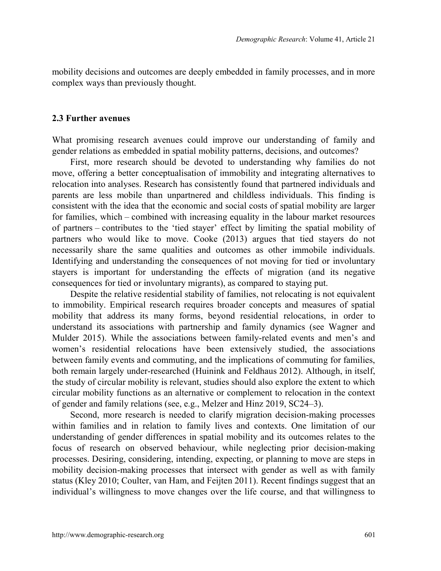mobility decisions and outcomes are deeply embedded in family processes, and in more complex ways than previously thought.

#### **2.3 Further avenues**

What promising research avenues could improve our understanding of family and gender relations as embedded in spatial mobility patterns, decisions, and outcomes?

First, more research should be devoted to understanding why families do not move, offering a better conceptualisation of immobility and integrating alternatives to relocation into analyses. Research has consistently found that partnered individuals and parents are less mobile than unpartnered and childless individuals. This finding is consistent with the idea that the economic and social costs of spatial mobility are larger for families, which – combined with increasing equality in the labour market resources of partners – contributes to the 'tied stayer' effect by limiting the spatial mobility of partners who would like to move. Cooke (2013) argues that tied stayers do not necessarily share the same qualities and outcomes as other immobile individuals. Identifying and understanding the consequences of not moving for tied or involuntary stayers is important for understanding the effects of migration (and its negative consequences for tied or involuntary migrants), as compared to staying put.

Despite the relative residential stability of families, not relocating is not equivalent to immobility. Empirical research requires broader concepts and measures of spatial mobility that address its many forms, beyond residential relocations, in order to understand its associations with partnership and family dynamics (see Wagner and Mulder 2015). While the associations between family-related events and men's and women's residential relocations have been extensively studied, the associations between family events and commuting, and the implications of commuting for families, both remain largely under-researched (Huinink and Feldhaus 2012). Although, in itself, the study of circular mobility is relevant, studies should also explore the extent to which circular mobility functions as an alternative or complement to relocation in the context of gender and family relations (see, e.g., Melzer and Hinz 2019, SC24–3).

Second, more research is needed to clarify migration decision-making processes within families and in relation to family lives and contexts. One limitation of our understanding of gender differences in spatial mobility and its outcomes relates to the focus of research on observed behaviour, while neglecting prior decision-making processes. Desiring, considering, intending, expecting, or planning to move are steps in mobility decision-making processes that intersect with gender as well as with family status (Kley 2010; Coulter, van Ham, and Feijten 2011). Recent findings suggest that an individual's willingness to move changes over the life course, and that willingness to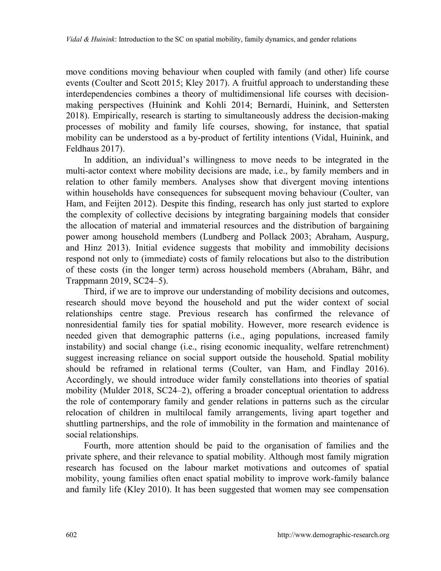move conditions moving behaviour when coupled with family (and other) life course events (Coulter and Scott 2015; Kley 2017). A fruitful approach to understanding these interdependencies combines a theory of multidimensional life courses with decisionmaking perspectives (Huinink and Kohli 2014; Bernardi, Huinink, and Settersten 2018). Empirically, research is starting to simultaneously address the decision-making processes of mobility and family life courses, showing, for instance, that spatial mobility can be understood as a by-product of fertility intentions (Vidal, Huinink, and Feldhaus 2017).

In addition, an individual's willingness to move needs to be integrated in the multi-actor context where mobility decisions are made, i.e., by family members and in relation to other family members. Analyses show that divergent moving intentions within households have consequences for subsequent moving behaviour (Coulter, van Ham, and Feijten 2012). Despite this finding, research has only just started to explore the complexity of collective decisions by integrating bargaining models that consider the allocation of material and immaterial resources and the distribution of bargaining power among household members (Lundberg and Pollack 2003; Abraham, Auspurg, and Hinz 2013). Initial evidence suggests that mobility and immobility decisions respond not only to (immediate) costs of family relocations but also to the distribution of these costs (in the longer term) across household members (Abraham, Bähr, and Trappmann 2019, SC24–5).

Third, if we are to improve our understanding of mobility decisions and outcomes, research should move beyond the household and put the wider context of social relationships centre stage. Previous research has confirmed the relevance of nonresidential family ties for spatial mobility. However, more research evidence is needed given that demographic patterns (i.e., aging populations, increased family instability) and social change (i.e., rising economic inequality, welfare retrenchment) suggest increasing reliance on social support outside the household. Spatial mobility should be reframed in relational terms (Coulter, van Ham, and Findlay 2016). Accordingly, we should introduce wider family constellations into theories of spatial mobility (Mulder 2018, SC24–2), offering a broader conceptual orientation to address the role of contemporary family and gender relations in patterns such as the circular relocation of children in multilocal family arrangements, living apart together and shuttling partnerships, and the role of immobility in the formation and maintenance of social relationships.

Fourth, more attention should be paid to the organisation of families and the private sphere, and their relevance to spatial mobility. Although most family migration research has focused on the labour market motivations and outcomes of spatial mobility, young families often enact spatial mobility to improve work-family balance and family life (Kley 2010). It has been suggested that women may see compensation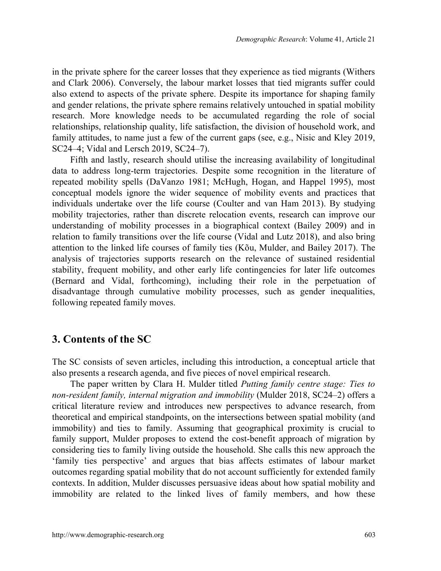in the private sphere for the career losses that they experience as tied migrants (Withers and Clark 2006). Conversely, the labour market losses that tied migrants suffer could also extend to aspects of the private sphere. Despite its importance for shaping family and gender relations, the private sphere remains relatively untouched in spatial mobility research. More knowledge needs to be accumulated regarding the role of social relationships, relationship quality, life satisfaction, the division of household work, and family attitudes, to name just a few of the current gaps (see, e.g., Nisic and Kley 2019, SC24–4; Vidal and Lersch 2019, SC24–7).

Fifth and lastly, research should utilise the increasing availability of longitudinal data to address long-term trajectories. Despite some recognition in the literature of repeated mobility spells (DaVanzo 1981; McHugh, Hogan, and Happel 1995), most conceptual models ignore the wider sequence of mobility events and practices that individuals undertake over the life course (Coulter and van Ham 2013). By studying mobility trajectories, rather than discrete relocation events, research can improve our understanding of mobility processes in a biographical context (Bailey 2009) and in relation to family transitions over the life course (Vidal and Lutz 2018), and also bring attention to the linked life courses of family ties (Kõu, Mulder, and Bailey 2017). The analysis of trajectories supports research on the relevance of sustained residential stability, frequent mobility, and other early life contingencies for later life outcomes (Bernard and Vidal, forthcoming), including their role in the perpetuation of disadvantage through cumulative mobility processes, such as gender inequalities, following repeated family moves.

#### **3. Contents of the SC**

The SC consists of seven articles, including this introduction, a conceptual article that also presents a research agenda, and five pieces of novel empirical research.

The paper written by Clara H. Mulder titled *Putting family centre stage: Ties to non-resident family, internal migration and immobility* (Mulder 2018, SC24–2) offers a critical literature review and introduces new perspectives to advance research, from theoretical and empirical standpoints, on the intersections between spatial mobility (and immobility) and ties to family. Assuming that geographical proximity is crucial to family support, Mulder proposes to extend the cost-benefit approach of migration by considering ties to family living outside the household. She calls this new approach the 'family ties perspective' and argues that bias affects estimates of labour market outcomes regarding spatial mobility that do not account sufficiently for extended family contexts. In addition, Mulder discusses persuasive ideas about how spatial mobility and immobility are related to the linked lives of family members, and how these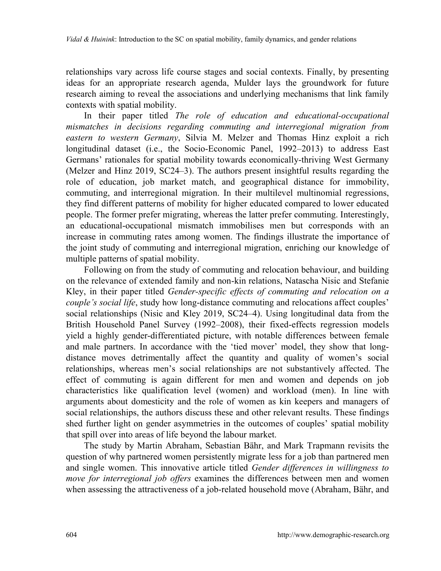relationships vary across life course stages and social contexts. Finally, by presenting ideas for an appropriate research agenda, Mulder lays the groundwork for future research aiming to reveal the associations and underlying mechanisms that link family contexts with spatial mobility.

In their paper titled *The role of education and educational-occupational mismatches in decisions regarding commuting and interregional migration from eastern to western Germany*, Silvia M. Melzer and Thomas Hinz exploit a rich longitudinal dataset (i.e., the Socio-Economic Panel, 1992–2013) to address East Germans' rationales for spatial mobility towards economically-thriving West Germany (Melzer and Hinz 2019, SC24–3). The authors present insightful results regarding the role of education, job market match, and geographical distance for immobility, commuting, and interregional migration. In their multilevel multinomial regressions, they find different patterns of mobility for higher educated compared to lower educated people. The former prefer migrating, whereas the latter prefer commuting. Interestingly, an educational-occupational mismatch immobilises men but corresponds with an increase in commuting rates among women. The findings illustrate the importance of the joint study of commuting and interregional migration, enriching our knowledge of multiple patterns of spatial mobility.

Following on from the study of commuting and relocation behaviour, and building on the relevance of extended family and non-kin relations, Natascha Nisic and Stefanie Kley, in their paper titled *Gender-specific effects of commuting and relocation on a couple's social life*, study how long-distance commuting and relocations affect couples' social relationships (Nisic and Kley 2019, SC24–4). Using longitudinal data from the British Household Panel Survey (1992–2008), their fixed-effects regression models yield a highly gender-differentiated picture, with notable differences between female and male partners. In accordance with the 'tied mover' model, they show that longdistance moves detrimentally affect the quantity and quality of women's social relationships, whereas men's social relationships are not substantively affected. The effect of commuting is again different for men and women and depends on job characteristics like qualification level (women) and workload (men). In line with arguments about domesticity and the role of women as kin keepers and managers of social relationships, the authors discuss these and other relevant results. These findings shed further light on gender asymmetries in the outcomes of couples' spatial mobility that spill over into areas of life beyond the labour market.

The study by Martin Abraham, Sebastian Bähr, and Mark Trapmann revisits the question of why partnered women persistently migrate less for a job than partnered men and single women. This innovative article titled *Gender differences in willingness to move for interregional job offers* examines the differences between men and women when assessing the attractiveness of a job-related household move (Abraham, Bähr, and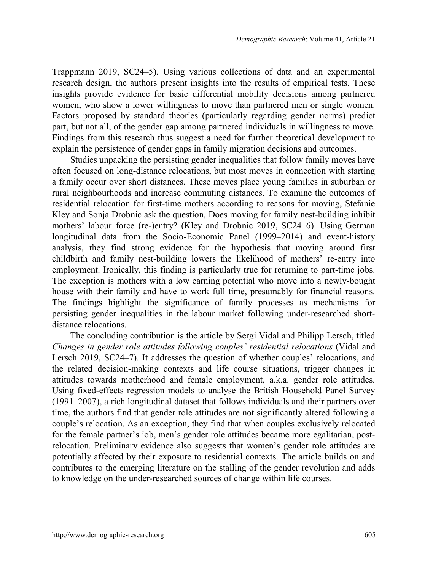Trappmann 2019, SC24–5). Using various collections of data and an experimental research design, the authors present insights into the results of empirical tests. These insights provide evidence for basic differential mobility decisions among partnered women, who show a lower willingness to move than partnered men or single women. Factors proposed by standard theories (particularly regarding gender norms) predict part, but not all, of the gender gap among partnered individuals in willingness to move. Findings from this research thus suggest a need for further theoretical development to explain the persistence of gender gaps in family migration decisions and outcomes.

Studies unpacking the persisting gender inequalities that follow family moves have often focused on long-distance relocations, but most moves in connection with starting a family occur over short distances. These moves place young families in suburban or rural neighbourhoods and increase commuting distances. To examine the outcomes of residential relocation for first-time mothers according to reasons for moving, Stefanie Kley and Sonja Drobnic ask the question, Does moving for family nest-building inhibit mothers' labour force (re-)entry? (Kley and Drobnic 2019, SC24–6). Using German longitudinal data from the Socio-Economic Panel (1999–2014) and event-history analysis, they find strong evidence for the hypothesis that moving around first childbirth and family nest-building lowers the likelihood of mothers' re-entry into employment. Ironically, this finding is particularly true for returning to part-time jobs. The exception is mothers with a low earning potential who move into a newly-bought house with their family and have to work full time, presumably for financial reasons. The findings highlight the significance of family processes as mechanisms for persisting gender inequalities in the labour market following under-researched shortdistance relocations.

The concluding contribution is the article by Sergi Vidal and Philipp Lersch, titled *Changes in gender role attitudes following couples' residential relocations* (Vidal and Lersch 2019, SC24–7). It addresses the question of whether couples' relocations, and the related decision-making contexts and life course situations, trigger changes in attitudes towards motherhood and female employment, a.k.a. gender role attitudes. Using fixed-effects regression models to analyse the British Household Panel Survey (1991–2007), a rich longitudinal dataset that follows individuals and their partners over time, the authors find that gender role attitudes are not significantly altered following a couple's relocation. As an exception, they find that when couples exclusively relocated for the female partner's job, men's gender role attitudes became more egalitarian, postrelocation. Preliminary evidence also suggests that women's gender role attitudes are potentially affected by their exposure to residential contexts. The article builds on and contributes to the emerging literature on the stalling of the gender revolution and adds to knowledge on the under-researched sources of change within life courses.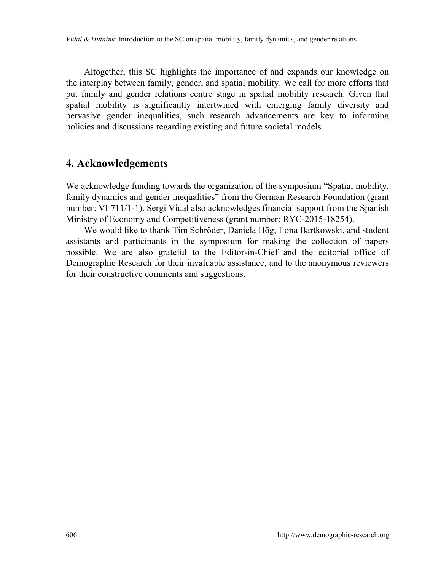Altogether, this SC highlights the importance of and expands our knowledge on the interplay between family, gender, and spatial mobility. We call for more efforts that put family and gender relations centre stage in spatial mobility research. Given that spatial mobility is significantly intertwined with emerging family diversity and pervasive gender inequalities, such research advancements are key to informing policies and discussions regarding existing and future societal models.

## **4. Acknowledgements**

We acknowledge funding towards the organization of the symposium "Spatial mobility, family dynamics and gender inequalities" from the German Research Foundation (grant number: VI 711/1-1). Sergi Vidal also acknowledges financial support from the Spanish Ministry of Economy and Competitiveness (grant number: RYC-2015-18254).

We would like to thank Tim Schröder, Daniela Hög, Ilona Bartkowski, and student assistants and participants in the symposium for making the collection of papers possible. We are also grateful to the Editor-in-Chief and the editorial office of Demographic Research for their invaluable assistance, and to the anonymous reviewers for their constructive comments and suggestions.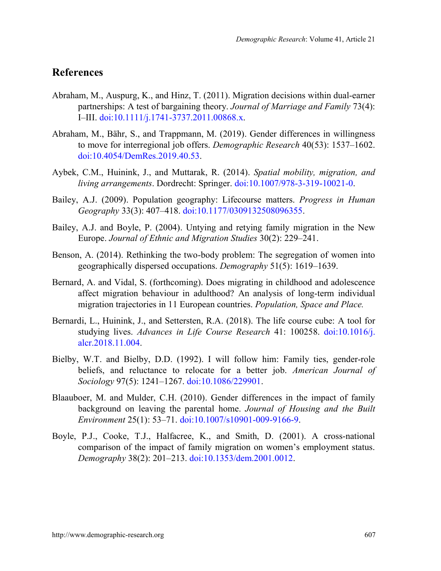## **References**

- Abraham, M., Auspurg, K., and Hinz, T. (2011). Migration decisions within dual-earner partnerships: A test of bargaining theory. *Journal of Marriage and Family* 73(4): I–III. [doi:10.1111/j.1741-3737.2011.00868.x.](https://doi.org/10.1111/j.1741-3737.2011.00868.x)
- Abraham, M., Bähr, S., and Trappmann, M. (2019). Gender differences in willingness to move for interregional job offers. *Demographic Research* 40(53): 1537–1602. [doi:10.4054/DemRes.2019.40.53.](https://dx.doi.org/10.4054/DemRes.2019.40.53)
- Aybek, C.M., Huinink, J., and Muttarak, R. (2014). *Spatial mobility, migration, and living arrangements*. Dordrecht: Springer. [doi:10.1007/978-3-319-10021-0.](https://doi.org/10.1007/978-3-319-10021-0)
- Bailey, A.J. (2009). Population geography: Lifecourse matters. *Progress in Human Geography* 33(3): 407–418. [doi:10.1177/0309132508096355.](https://doi.org/10.1177/0309132508096355)
- Bailey, A.J. and Boyle, P. (2004). Untying and retying family migration in the New Europe. *Journal of Ethnic and Migration Studies* 30(2): 229–241.
- Benson, A. (2014). Rethinking the two-body problem: The segregation of women into geographically dispersed occupations. *Demography* 51(5): 1619–1639.
- Bernard, A. and Vidal, S. (forthcoming). Does migrating in childhood and adolescence affect migration behaviour in adulthood? An analysis of long-term individual migration trajectories in 11 European countries. *Population, Space and Place.*
- Bernardi, L., Huinink, J., and Settersten, R.A. (2018). The life course cube: A tool for studying lives. *Advances in Life Course Research* 41: 100258. [doi:10.1016/j.](https://doi.org/10.1016/j.alcr.2018.11.004) [alcr.2018.11.004.](https://doi.org/10.1016/j.alcr.2018.11.004)
- Bielby, W.T. and Bielby, D.D. (1992). I will follow him: Family ties, gender-role beliefs, and reluctance to relocate for a better job. *American Journal of Sociology* 97(5): 1241–1267. [doi:10.1086/229901.](https://doi.org/10.1086/229901)
- Blaauboer, M. and Mulder, C.H. (2010). Gender differences in the impact of family background on leaving the parental home. *Journal of Housing and the Built Environment* 25(1): 53–71. [doi:10.1007/s10901-009-9166-9.](https://doi.org/10.1007/s10901-009-9166-9)
- Boyle, P.J., Cooke, T.J., Halfacree, K., and Smith, D. (2001). A cross-national comparison of the impact of family migration on women's employment status. *Demography* 38(2): 201–213. [doi:10.1353/dem.2001.0012.](https://doi.org/10.1353/dem.2001.0012)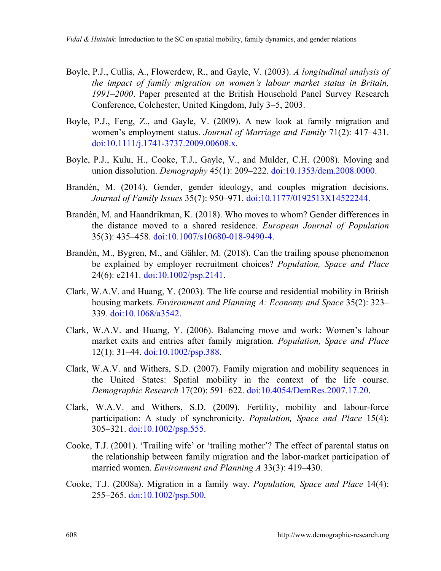- Boyle, P.J., Cullis, A., Flowerdew, R., and Gayle, V. (2003). *A longitudinal analysis of the impact of family migration on women's labour market status in Britain, 1991–2000*. Paper presented at the British Household Panel Survey Research Conference, Colchester, United Kingdom, July 3–5, 2003.
- Boyle, P.J., Feng, Z., and Gayle, V. (2009). A new look at family migration and women's employment status. *Journal of Marriage and Family* 71(2): 417–431. [doi:10.1111/j.1741-3737.2009.00608.x.](https://doi.org/10.1111/j.1741-3737.2009.00608.x)
- Boyle, P.J., Kulu, H., Cooke, T.J., Gayle, V., and Mulder, C.H. (2008). Moving and union dissolution. *Demography* 45(1): 209–222. [doi:10.1353/dem.2008.0000.](https://doi.org/10.1353/dem.2008.0000)
- Brandén, M. (2014). Gender, gender ideology, and couples migration decisions. *Journal of Family Issues* 35(7): 950–971. [doi:10.1177/0192513X14522244.](https://doi.org/10.1177/0192513X14522244)
- Brandén, M. and Haandrikman, K. (2018). Who moves to whom? Gender differences in the distance moved to a shared residence. *European Journal of Population* 35(3): 435–458. [doi:10.1007/s10680-018-9490-4.](https://doi.org/10.1007/s10680-018-9490-4)
- Brandén, M., Bygren, M., and Gähler, M. (2018). Can the trailing spouse phenomenon be explained by employer recruitment choices? *Population, Space and Place* 24(6): e2141. [doi:10.1002/psp.2141.](https://doi.org/10.1002/psp.2141)
- Clark, W.A.V. and Huang, Y. (2003). The life course and residential mobility in British housing markets. *Environment and Planning A: Economy and Space* 35(2): 323– 339. [doi:10.1068/a3542.](https://doi.org/10.1068/a3542)
- Clark, W.A.V. and Huang, Y. (2006). Balancing move and work: Women's labour market exits and entries after family migration. *Population, Space and Place* 12(1): 31–44. [doi:10.1002/psp.388.](https://doi.org/10.1002/psp.388)
- Clark, W.A.V. and Withers, S.D. (2007). Family migration and mobility sequences in the United States: Spatial mobility in the context of the life course. *Demographic Research* 17(20): 591–622. [doi:10.4054/DemRes.2007.17.20.](https://doi.org/10.4054/DemRes.2007.17.20)
- Clark, W.A.V. and Withers, S.D. (2009). Fertility, mobility and labour-force participation: A study of synchronicity. *Population, Space and Place* 15(4): 305–321. [doi:10.1002/psp.555.](https://doi.org/10.1002/psp.555)
- Cooke, T.J. (2001). 'Trailing wife' or 'trailing mother'? The effect of parental status on the relationship between family migration and the labor-market participation of married women. *Environment and Planning A* 33(3): 419–430.
- Cooke, T.J. (2008a). Migration in a family way. *Population, Space and Place* 14(4): 255–265. [doi:10.1002/psp.500.](https://doi.org/10.1002/psp.500)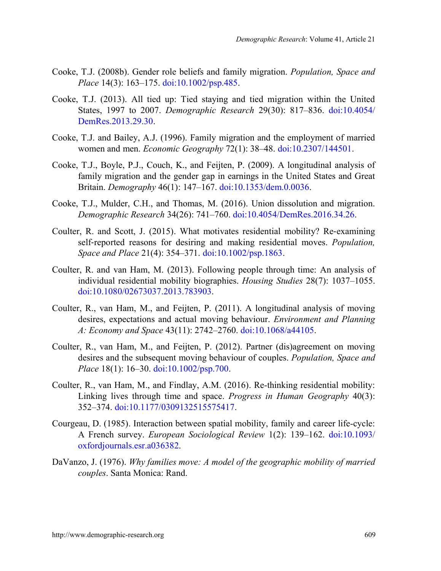- Cooke, T.J. (2008b). Gender role beliefs and family migration. *Population, Space and Place* 14(3): 163–175. [doi:10.1002/psp.485.](https://doi.org/10.1002/psp.485)
- Cooke, T.J. (2013). All tied up: Tied staying and tied migration within the United States, 1997 to 2007. *Demographic Research* 29(30): 817–836. [doi:10.4054/](https://doi.org/10.4054/DemRes.2013.29.30) [DemRes.2013.29.30.](https://doi.org/10.4054/DemRes.2013.29.30)
- Cooke, T.J. and Bailey, A.J. (1996). Family migration and the employment of married women and men. *Economic Geography* 72(1): 38–48. [doi:10.2307/144501.](https://doi.org/10.2307/144501)
- Cooke, T.J., Boyle, P.J., Couch, K., and Feijten, P. (2009). A longitudinal analysis of family migration and the gender gap in earnings in the United States and Great Britain. *Demography* 46(1): 147–167. [doi:10.1353/dem.0.0036.](https://doi.org/10.1353/dem.0.0036)
- Cooke, T.J., Mulder, C.H., and Thomas, M. (2016). Union dissolution and migration. *Demographic Research* 34(26): 741–760. [doi:10.4054/DemRes.2016.34.26.](https://doi.org/10.4054/DemRes.2016.34.26)
- Coulter, R. and Scott, J. (2015). What motivates residential mobility? Re-examining self-reported reasons for desiring and making residential moves. *Population, Space and Place* 21(4): 354–371. [doi:10.1002/psp.1863.](https://doi.org/10.1002/psp.1863)
- Coulter, R. and van Ham, M. (2013). Following people through time: An analysis of individual residential mobility biographies. *Housing Studies* 28(7): 1037–1055. [doi:10.1080/02673037.2013.783903.](https://doi.org/10.1080/02673037.2013.783903)
- Coulter, R., van Ham, M., and Feijten, P. (2011). A longitudinal analysis of moving desires, expectations and actual moving behaviour. *Environment and Planning A: Economy and Space* 43(11): 2742–2760. [doi:10.1068/a44105.](https://doi.org/10.1068/a44105)
- Coulter, R., van Ham, M., and Feijten, P. (2012). Partner (dis)agreement on moving desires and the subsequent moving behaviour of couples. *Population, Space and Place* 18(1): 16–30. [doi:10.1002/psp.700.](https://doi.org/10.1002/psp.700)
- Coulter, R., van Ham, M., and Findlay, A.M. (2016). Re-thinking residential mobility: Linking lives through time and space. *Progress in Human Geography* 40(3): 352–374. [doi:10.1177/0309132515575417.](https://doi.org/10.1177/0309132515575417)
- Courgeau, D. (1985). Interaction between spatial mobility, family and career life-cycle: A French survey. *European Sociological Review* 1(2): 139–162. [doi:10.1093/](https://doi.org/10.1093/oxfordjournals.esr.a036382) [oxfordjournals.esr.a036382.](https://doi.org/10.1093/oxfordjournals.esr.a036382)
- DaVanzo, J. (1976). *Why families move: A model of the geographic mobility of married couples*. Santa Monica: Rand.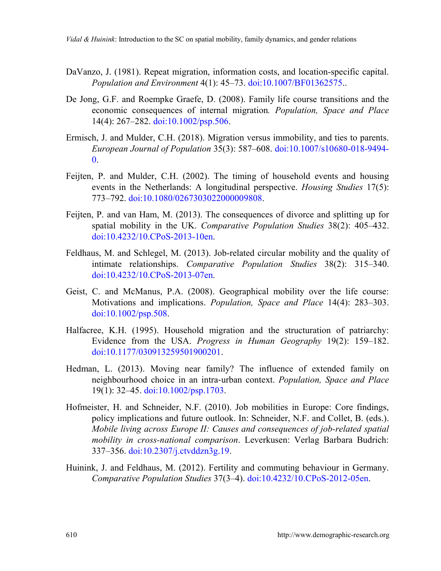- DaVanzo, J. (1981). Repeat migration, information costs, and location-specific capital. *Population and Environment* 4(1): 45–73. [doi:10.1007/BF01362575..](https://doi.org/10.1007/BF01362575)
- De Jong, G.F. and Roempke Graefe, D. (2008). Family life course transitions and the economic consequences of internal migration*. Population, Space and Place* 14(4): 267–282. [doi:10.1002/psp.506.](https://doi.org/10.1002/psp.506)
- Ermisch, J. and Mulder, C.H. (2018). Migration versus immobility, and ties to parents. *European Journal of Population* 35(3): 587–608. [doi:10.1007/s10680-018-9494-](https://doi.org/10.1007/s10680-018-9494-0)  $\mathbf{0}$ .
- Feijten, P. and Mulder, C.H. (2002). The timing of household events and housing events in the Netherlands: A longitudinal perspective. *Housing Studies* 17(5): 773–792. [doi:10.1080/0267303022000009808.](https://doi.org/10.1080/0267303022000009808)
- Feijten, P. and van Ham, M. (2013). The consequences of divorce and splitting up for spatial mobility in the UK. *Comparative Population Studies* 38(2): 405–432. [doi:10.4232/10.CPoS-2013-10en.](https://doi.org/10.4232/10.CPoS-2013-10en)
- Feldhaus, M. and Schlegel, M. (2013). Job-related circular mobility and the quality of intimate relationships. *Comparative Population Studies* 38(2): 315–340. [doi:10.4232/10.CPoS-2013-07en.](https://doi.org/10.4232/10.CPoS-2013-07en)
- Geist, C. and McManus, P.A. (2008). Geographical mobility over the life course: Motivations and implications. *Population, Space and Place* 14(4): 283–303. [doi:10.1002/psp.508.](https://doi.org/10.1002/psp.508)
- Halfacree, K.H. (1995). Household migration and the structuration of patriarchy: Evidence from the USA. *Progress in Human Geography* 19(2): 159–182. [doi:10.1177/030913259501900201.](https://doi.org/10.1177/030913259501900201)
- Hedman, L. (2013). Moving near family? The influence of extended family on neighbourhood choice in an intra-urban context. *Population, Space and Place* 19(1): 32–45. [doi:10.1002/psp.1703.](https://doi.org/10.1002/psp.1703)
- Hofmeister, H. and Schneider, N.F. (2010). Job mobilities in Europe: Core findings, policy implications and future outlook. In: Schneider, N.F. and Collet, B. (eds.). *Mobile living across Europe II: Causes and consequences of job-related spatial mobility in cross-national comparison*. Leverkusen: Verlag Barbara Budrich: 337–356. [doi:10.2307/j.ctvddzn3g.19.](https://doi.org/10.2307/j.ctvddzn3g.19)
- Huinink, J. and Feldhaus, M. (2012). Fertility and commuting behaviour in Germany. *Comparative Population Studies* 37(3–4). [doi:10.4232/10.CPoS-2012-05en.](https://doi.org/10.4232/10.CPoS-2012-05en)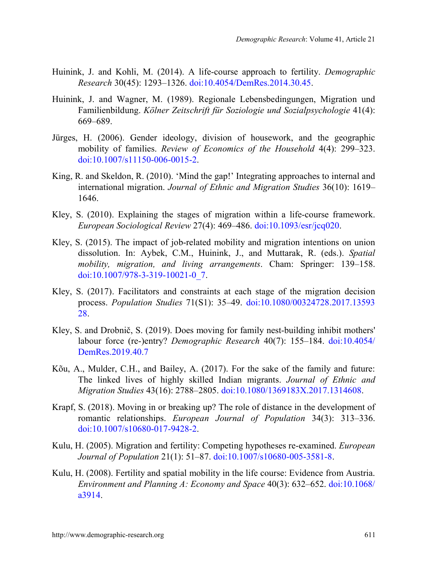- Huinink, J. and Kohli, M. (2014). A life-course approach to fertility. *Demographic Research* 30(45): 1293–1326. [doi:10.4054/DemRes.2014.30.45.](https://doi.org/10.4054/DemRes.2014.30.45)
- Huinink, J. and Wagner, M. (1989). Regionale Lebensbedingungen, Migration und Familienbildung. *Kölner Zeitschrift für Soziologie und Sozialpsychologie* 41(4): 669–689.
- Jürges, H. (2006). Gender ideology, division of housework, and the geographic mobility of families. *Review of Economics of the Household* 4(4): 299–323. [doi:10.1007/s11150-006-0015-2.](https://doi.org/10.1007/s11150-006-0015-2)
- King, R. and Skeldon, R. (2010). 'Mind the gap!' Integrating approaches to internal and international migration. *Journal of Ethnic and Migration Studies* 36(10): 1619– 1646.
- Kley, S. (2010). Explaining the stages of migration within a life-course framework. *European Sociological Review* 27(4): 469–486. [doi:10.1093/esr/jcq020.](https://doi.org/10.1093/esr/jcq020)
- Kley, S. (2015). The impact of job-related mobility and migration intentions on union dissolution. In: Aybek, C.M., Huinink, J., and Muttarak, R. (eds.). *Spatial mobility, migration, and living arrangements*. Cham: Springer: 139–158. [doi:10.1007/978-3-319-10021-0\\_7.](https://doi.org/10.1007/978-3-319-10021-0_7)
- Kley, S. (2017). Facilitators and constraints at each stage of the migration decision process. *Population Studies* 71(S1): 35–49. [doi:10.1080/00324728.2017.13593](https://doi.org/10.1080/00324728.2017.1359328) [28.](https://doi.org/10.1080/00324728.2017.1359328)
- Kley, S. and Drobnič, S. (2019). Does moving for family nest-building inhibit mothers' labour force (re-)entry? *Demographic Research* 40(7): 155–184. [doi:10.4054/](https://dx.doi.org/10.4054/DemRes.2019.40.7) [DemRes.2019.40.7](https://dx.doi.org/10.4054/DemRes.2019.40.7)
- Kõu, A., Mulder, C.H., and Bailey, A. (2017). For the sake of the family and future: The linked lives of highly skilled Indian migrants. *Journal of Ethnic and Migration Studies* 43(16): 2788–2805. [doi:10.1080/1369183X.2017.1314608.](https://doi.org/10.1080/1369183X.2017.1314608)
- Krapf, S. (2018). Moving in or breaking up? The role of distance in the development of romantic relationships. *European Journal of Population* 34(3): 313–336. [doi:10.1007/s10680-017-9428-2.](https://doi.org/10.1007/s10680-017-9428-2)
- Kulu, H. (2005). Migration and fertility: Competing hypotheses re-examined. *European Journal of Population* 21(1): 51–87. [doi:10.1007/s10680-005-3581-8.](https://doi.org/10.1007/s10680-005-3581-8)
- Kulu, H. (2008). Fertility and spatial mobility in the life course: Evidence from Austria. *Environment and Planning A: Economy and Space* 40(3): 632–652. [doi:10.1068/](https://doi.org/10.1068/a3914) [a3914.](https://doi.org/10.1068/a3914)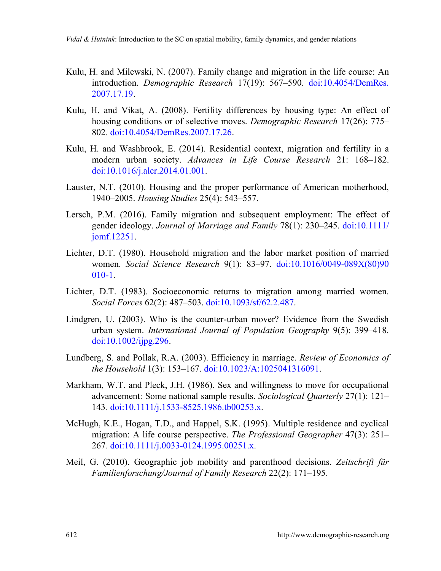- Kulu, H. and Milewski, N. (2007). Family change and migration in the life course: An introduction. *Demographic Research* 17(19): 567–590. [doi:10.4054/DemRes.](https://doi.org/10.4054/DemRes.2007.17.19) [2007.17.19.](https://doi.org/10.4054/DemRes.2007.17.19)
- Kulu, H. and Vikat, A. (2008). Fertility differences by housing type: An effect of housing conditions or of selective moves. *Demographic Research* 17(26): 775– 802. [doi:10.4054/DemRes.2007.17.26.](https://doi.org/10.4054/DemRes.2007.17.26)
- Kulu, H. and Washbrook, E. (2014). Residential context, migration and fertility in a modern urban society. *Advances in Life Course Research* 21: 168–182. [doi:10.1016/j.alcr.2014.01.001.](https://doi.org/10.1016/j.alcr.2014.01.001)
- Lauster, N.T. (2010). Housing and the proper performance of American motherhood, 1940–2005. *Housing Studies* 25(4): 543–557.
- Lersch, P.M. (2016). Family migration and subsequent employment: The effect of gender ideology. *Journal of Marriage and Family* 78(1): 230–245. [doi:10.1111/](https://doi.org/10.1111/jomf.12251) [jomf.12251.](https://doi.org/10.1111/jomf.12251)
- Lichter, D.T. (1980). Household migration and the labor market position of married women. *Social Science Research* 9(1): 83–97. [doi:10.1016/0049-089X\(80\)90](https://doi.org/10.1016/0049-089X(80)90010-1) [010-1.](https://doi.org/10.1016/0049-089X(80)90010-1)
- Lichter, D.T. (1983). Socioeconomic returns to migration among married women. *Social Forces* 62(2): 487–503. [doi:10.1093/sf/62.2.487.](https://doi.org/10.1093/sf/62.2.487)
- Lindgren, U. (2003). Who is the counter-urban mover? Evidence from the Swedish urban system. *International Journal of Population Geography* 9(5): 399–418. [doi:10.1002/ijpg.296.](https://doi.org/10.1002/ijpg.296)
- Lundberg, S. and Pollak, R.A. (2003). Efficiency in marriage. *Review of Economics of the Household* 1(3): 153–167. [doi:10.1023/A:1025041316091.](https://doi.org/10.1023/A:1025041316091)
- Markham, W.T. and Pleck, J.H. (1986). Sex and willingness to move for occupational advancement: Some national sample results. *Sociological Quarterly* 27(1): 121– 143. [doi:10.1111/j.1533-8525.1986.tb00253.x.](https://doi.org/10.1111/j.1533-8525.1986.tb00253.x)
- McHugh, K.E., Hogan, T.D., and Happel, S.K. (1995). Multiple residence and cyclical migration: A life course perspective. *The Professional Geographer* 47(3): 251– 267. [doi:10.1111/j.0033-0124.1995.00251.x.](https://doi.org/10.1111/j.0033-0124.1995.00251.x)
- Meil, G. (2010). Geographic job mobility and parenthood decisions. *Zeitschrift für Familienforschung/Journal of Family Research* 22(2): 171–195.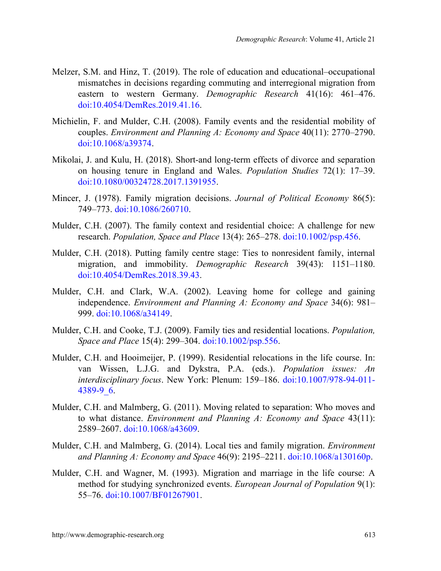- Melzer, S.M. and Hinz, T. (2019). The role of education and educational–occupational mismatches in decisions regarding commuting and interregional migration from eastern to western Germany. *Demographic Research* 41(16): 461–476. [doi:10.4054/DemRes.2019.41.16.](https://dx.doi.org/10.4054/DemRes.2019.41.16)
- Michielin, F. and Mulder, C.H. (2008). Family events and the residential mobility of couples. *Environment and Planning A: Economy and Space* 40(11): 2770–2790. [doi:10.1068/a39374.](https://doi.org/10.1068/a39374)
- Mikolai, J. and Kulu, H. (2018). Short-and long-term effects of divorce and separation on housing tenure in England and Wales. *Population Studies* 72(1): 17–39. [doi:10.1080/00324728.2017.1391955.](https://doi.org/10.1080/00324728.2017.1391955)
- Mincer, J. (1978). Family migration decisions. *Journal of Political Economy* 86(5): 749–773. [doi:10.1086/260710.](https://doi.org/10.1086/260710)
- Mulder, C.H. (2007). The family context and residential choice: A challenge for new research. *Population, Space and Place* 13(4): 265–278. [doi:10.1002/psp.456.](https://doi.org/10.1002/psp.456)
- Mulder, C.H. (2018). Putting family centre stage: Ties to nonresident family, internal migration, and immobility. *Demographic Research* 39(43): 1151–1180. [doi:10.4054/DemRes.2018.39.43.](https://doi.org/10.4054/DemRes.2018.39.43)
- Mulder, C.H. and Clark, W.A. (2002). Leaving home for college and gaining independence. *Environment and Planning A: Economy and Space* 34(6): 981– 999. [doi:10.1068/a34149.](https://doi.org/10.1068/a34149)
- Mulder, C.H. and Cooke, T.J. (2009). Family ties and residential locations. *Population, Space and Place* 15(4): 299–304. [doi:10.1002/psp.556.](https://doi.org/10.1002/psp.556)
- Mulder, C.H. and Hooimeijer, P. (1999). Residential relocations in the life course. In: van Wissen, L.J.G. and Dykstra, P.A. (eds.). *Population issues: An interdisciplinary focus*. New York: Plenum: 159–186. [doi:10.1007/978-94-011-](https://doi.org/10.1007/978-94-011-4389-9_6) [4389-9\\_6.](https://doi.org/10.1007/978-94-011-4389-9_6)
- Mulder, C.H. and Malmberg, G. (2011). Moving related to separation: Who moves and to what distance. *Environment and Planning A: Economy and Space* 43(11): 2589–2607. [doi:10.1068/a43609.](https://doi.org/10.1068/a43609)
- Mulder, C.H. and Malmberg, G. (2014). Local ties and family migration. *Environment and Planning A: Economy and Space* 46(9): 2195–2211. [doi:10.1068/a130160p.](https://doi.org/10.1068/a130160p)
- Mulder, C.H. and Wagner, M. (1993). Migration and marriage in the life course: A method for studying synchronized events. *European Journal of Population* 9(1): 55–76. [doi:10.1007/BF01267901.](https://doi.org/10.1007/BF01267901)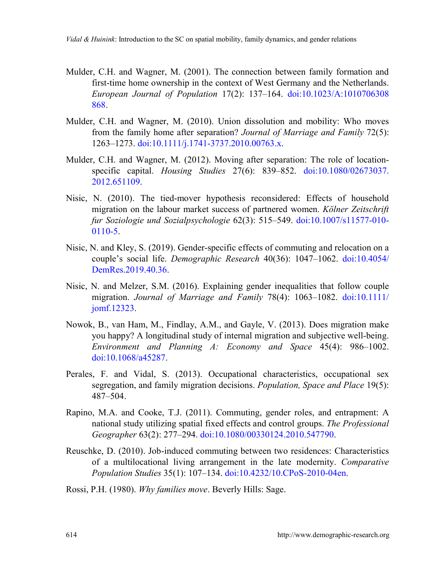- Mulder, C.H. and Wagner, M. (2001). The connection between family formation and first-time home ownership in the context of West Germany and the Netherlands. *European Journal of Population* 17(2): 137–164. [doi:10.1023/A:1010706308](https://doi.org/10.1023/A:1010706308868) [868.](https://doi.org/10.1023/A:1010706308868)
- Mulder, C.H. and Wagner, M. (2010). Union dissolution and mobility: Who moves from the family home after separation? *Journal of Marriage and Family* 72(5): 1263–1273. [doi:10.1111/j.1741-3737.2010.00763.x.](https://doi.org/10.1111/j.1741-3737.2010.00763.x)
- Mulder, C.H. and Wagner, M. (2012). Moving after separation: The role of locationspecific capital. *Housing Studies* 27(6): 839–852. [doi:10.1080/02673037.](https://doi.org/10.1080/02673037.2012.651109) [2012.651109.](https://doi.org/10.1080/02673037.2012.651109)
- Nisic, N. (2010). The tied-mover hypothesis reconsidered: Effects of household migration on the labour market success of partnered women. *Kölner Zeitschrift fur Soziologie und Sozialpsychologie* 62(3): 515–549. [doi:10.1007/s11577-010-](https://doi.org/10.1007/s11577-010-0110-5) [0110-5.](https://doi.org/10.1007/s11577-010-0110-5)
- Nisic, N. and Kley, S. (2019). Gender-specific effects of commuting and relocation on a couple's social life. *Demographic Research* 40(36): 1047–1062. [doi:10.4054/](https://dx.doi.org/10.4054/DemRes.2019.40.36) [DemRes.2019.40.36.](https://dx.doi.org/10.4054/DemRes.2019.40.36)
- Nisic, N. and Melzer, S.M. (2016). Explaining gender inequalities that follow couple migration. *Journal of Marriage and Family* 78(4): 1063–1082. [doi:10.1111/](https://doi.org/10.1111/jomf.12323) [jomf.12323.](https://doi.org/10.1111/jomf.12323)
- Nowok, B., van Ham, M., Findlay, A.M., and Gayle, V. (2013). Does migration make you happy? A longitudinal study of internal migration and subjective well-being. *Environment and Planning A: Economy and Space* 45(4): 986–1002. [doi:10.1068/a45287.](https://doi.org/10.1068/a45287)
- Perales, F. and Vidal, S. (2013). Occupational characteristics, occupational sex segregation, and family migration decisions. *Population, Space and Place* 19(5): 487‒504.
- Rapino, M.A. and Cooke, T.J. (2011). Commuting, gender roles, and entrapment: A national study utilizing spatial fixed effects and control groups. *The Professional Geographer* 63(2): 277–294. [doi:10.1080/00330124.2010.547790.](https://doi.org/10.1080/00330124.2010.547790)
- Reuschke, D. (2010). Job-induced commuting between two residences: Characteristics of a multilocational living arrangement in the late modernity. *Comparative Population Studies* 35(1): 107–134. [doi:10.4232/10.CPoS-2010-04en.](https://doi.org/10.4232/10.CPoS-2010-04en)

Rossi, P.H. (1980). *Why families move*. Beverly Hills: Sage.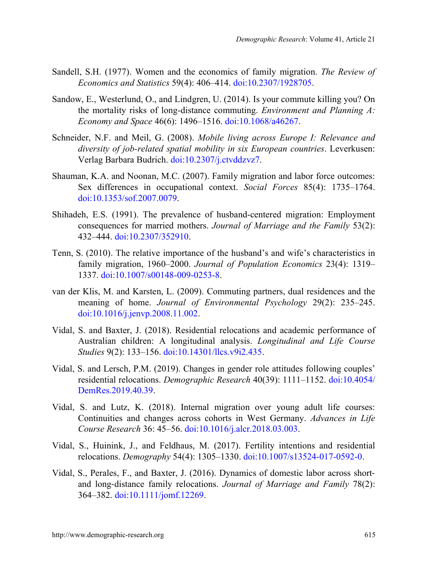- Sandell, S.H. (1977). Women and the economics of family migration. *The Review of Economics and Statistics* 59(4): 406–414. [doi:10.2307/1928705.](https://doi.org/10.2307/1928705)
- Sandow, E., Westerlund, O., and Lindgren, U. (2014). Is your commute killing you? On the mortality risks of long-distance commuting. *Environment and Planning A: Economy and Space* 46(6): 1496–1516. [doi:10.1068/a46267.](https://doi.org/10.1068/a46267)
- Schneider, N.F. and Meil, G. (2008). *Mobile living across Europe I: Relevance and diversity of job-related spatial mobility in six European countries*. Leverkusen: Verlag Barbara Budrich. [doi:10.2307/j.ctvddzvz7.](https://doi.org/10.2307/j.ctvddzvz7)
- Shauman, K.A. and Noonan, M.C. (2007). Family migration and labor force outcomes: Sex differences in occupational context. *Social Forces* 85(4): 1735–1764. [doi:10.1353/sof.2007.0079.](https://doi.org/10.1353/sof.2007.0079)
- Shihadeh, E.S. (1991). The prevalence of husband-centered migration: Employment consequences for married mothers. *Journal of Marriage and the Family* 53(2): 432–444. [doi:10.2307/352910.](https://doi.org/10.2307/352910)
- Tenn, S. (2010). The relative importance of the husband's and wife's characteristics in family migration, 1960–2000. *Journal of Population Economics* 23(4): 1319– 1337. [doi:10.1007/s00148-009-0253-8.](https://doi.org/10.1007/s00148-009-0253-8)
- van der Klis, M. and Karsten, L. (2009). Commuting partners, dual residences and the meaning of home. *Journal of Environmental Psychology* 29(2): 235–245. [doi:10.1016/j.jenvp.2008.11.002.](https://doi.org/10.1016/j.jenvp.2008.11.002)
- Vidal, S. and Baxter, J. (2018). Residential relocations and academic performance of Australian children: A longitudinal analysis. *Longitudinal and Life Course Studies* 9(2): 133–156. [doi:10.14301/llcs.v9i2.435.](https://doi.org/10.14301/llcs.v9i2.435)
- Vidal, S. and Lersch, P.M. (2019). Changes in gender role attitudes following couples' residential relocations. *Demographic Research* 40(39): 1111–1152. [doi:10.4054/](https://doi.org/10.4054/DemRes.2019.40.39) [DemRes.2019.40.39.](https://doi.org/10.4054/DemRes.2019.40.39)
- Vidal, S. and Lutz, K. (2018). Internal migration over young adult life courses: Continuities and changes across cohorts in West Germany. *Advances in Life Course Research* 36: 45–56. [doi:10.1016/j.alcr.2018.03.003.](https://doi.org/10.1016/j.alcr.2018.03.003)
- Vidal, S., Huinink, J., and Feldhaus, M. (2017). Fertility intentions and residential relocations. *Demography* 54(4): 1305–1330. [doi:10.1007/s13524-017-0592-0.](https://doi.org/10.1007/s13524-017-0592-0)
- Vidal, S., Perales, F., and Baxter, J. (2016). Dynamics of domestic labor across shortand long-distance family relocations. *Journal of Marriage and Family* 78(2): 364–382. [doi:10.1111/jomf.12269.](https://doi.org/10.1111/jomf.12269)